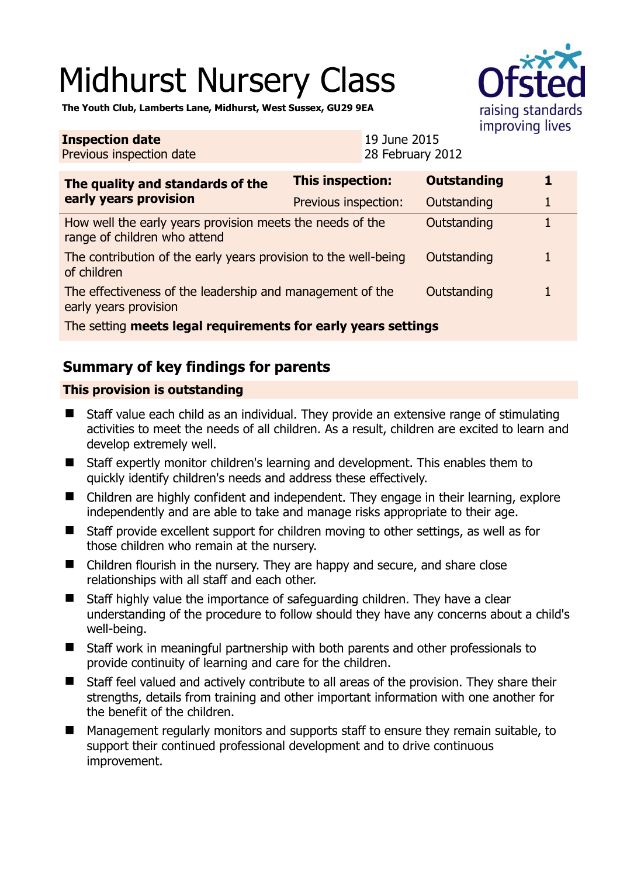# Midhurst Nursery Class



**The Youth Club, Lamberts Lane, Midhurst, West Sussex, GU29 9EA** 

#### **Inspection date** Previous inspection date 19 June 2015 28 February 2012 **The quality and standards of the early years provision This inspection: Outstanding 1**  Previous inspection: Outstanding 1 How well the early years provision meets the needs of the range of children who attend Outstanding 1 The contribution of the early years provision to the well-being of children Outstanding 1 The effectiveness of the leadership and management of the early years provision Outstanding 1 The setting **meets legal requirements for early years settings**

## **Summary of key findings for parents**

## **This provision is outstanding**

- Staff value each child as an individual. They provide an extensive range of stimulating activities to meet the needs of all children. As a result, children are excited to learn and develop extremely well.
- Staff expertly monitor children's learning and development. This enables them to quickly identify children's needs and address these effectively.
- Children are highly confident and independent. They engage in their learning, explore independently and are able to take and manage risks appropriate to their age.
- Staff provide excellent support for children moving to other settings, as well as for those children who remain at the nursery.
- Children flourish in the nursery. They are happy and secure, and share close relationships with all staff and each other.
- Staff highly value the importance of safeguarding children. They have a clear understanding of the procedure to follow should they have any concerns about a child's well-being.
- Staff work in meaningful partnership with both parents and other professionals to provide continuity of learning and care for the children.
- Staff feel valued and actively contribute to all areas of the provision. They share their strengths, details from training and other important information with one another for the benefit of the children.
- Management regularly monitors and supports staff to ensure they remain suitable, to support their continued professional development and to drive continuous improvement.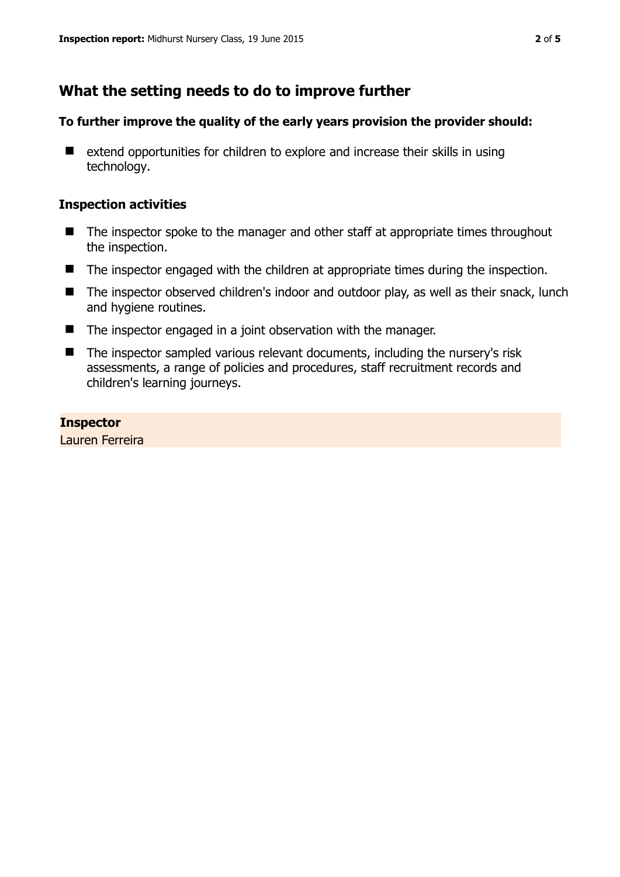## **What the setting needs to do to improve further**

#### **To further improve the quality of the early years provision the provider should:**

■ extend opportunities for children to explore and increase their skills in using technology.

#### **Inspection activities**

- The inspector spoke to the manager and other staff at appropriate times throughout the inspection.
- The inspector engaged with the children at appropriate times during the inspection.
- The inspector observed children's indoor and outdoor play, as well as their snack, lunch and hygiene routines.
- The inspector engaged in a joint observation with the manager.
- The inspector sampled various relevant documents, including the nursery's risk assessments, a range of policies and procedures, staff recruitment records and children's learning journeys.

**Inspector**  Lauren Ferreira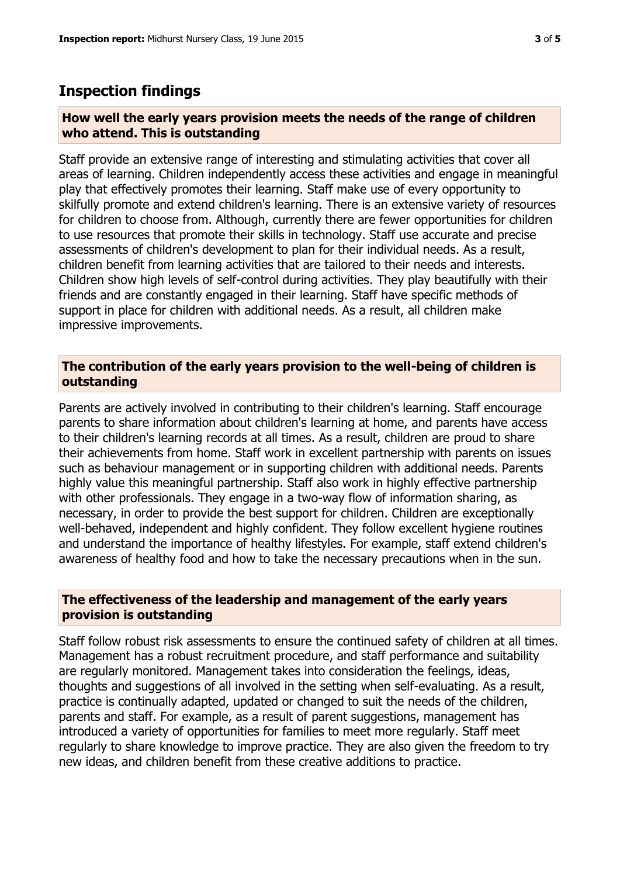## **Inspection findings**

#### **How well the early years provision meets the needs of the range of children who attend. This is outstanding**

Staff provide an extensive range of interesting and stimulating activities that cover all areas of learning. Children independently access these activities and engage in meaningful play that effectively promotes their learning. Staff make use of every opportunity to skilfully promote and extend children's learning. There is an extensive variety of resources for children to choose from. Although, currently there are fewer opportunities for children to use resources that promote their skills in technology. Staff use accurate and precise assessments of children's development to plan for their individual needs. As a result, children benefit from learning activities that are tailored to their needs and interests. Children show high levels of self-control during activities. They play beautifully with their friends and are constantly engaged in their learning. Staff have specific methods of support in place for children with additional needs. As a result, all children make impressive improvements.

### **The contribution of the early years provision to the well-being of children is outstanding**

Parents are actively involved in contributing to their children's learning. Staff encourage parents to share information about children's learning at home, and parents have access to their children's learning records at all times. As a result, children are proud to share their achievements from home. Staff work in excellent partnership with parents on issues such as behaviour management or in supporting children with additional needs. Parents highly value this meaningful partnership. Staff also work in highly effective partnership with other professionals. They engage in a two-way flow of information sharing, as necessary, in order to provide the best support for children. Children are exceptionally well-behaved, independent and highly confident. They follow excellent hygiene routines and understand the importance of healthy lifestyles. For example, staff extend children's awareness of healthy food and how to take the necessary precautions when in the sun.

#### **The effectiveness of the leadership and management of the early years provision is outstanding**

Staff follow robust risk assessments to ensure the continued safety of children at all times. Management has a robust recruitment procedure, and staff performance and suitability are regularly monitored. Management takes into consideration the feelings, ideas, thoughts and suggestions of all involved in the setting when self-evaluating. As a result, practice is continually adapted, updated or changed to suit the needs of the children, parents and staff. For example, as a result of parent suggestions, management has introduced a variety of opportunities for families to meet more regularly. Staff meet regularly to share knowledge to improve practice. They are also given the freedom to try new ideas, and children benefit from these creative additions to practice.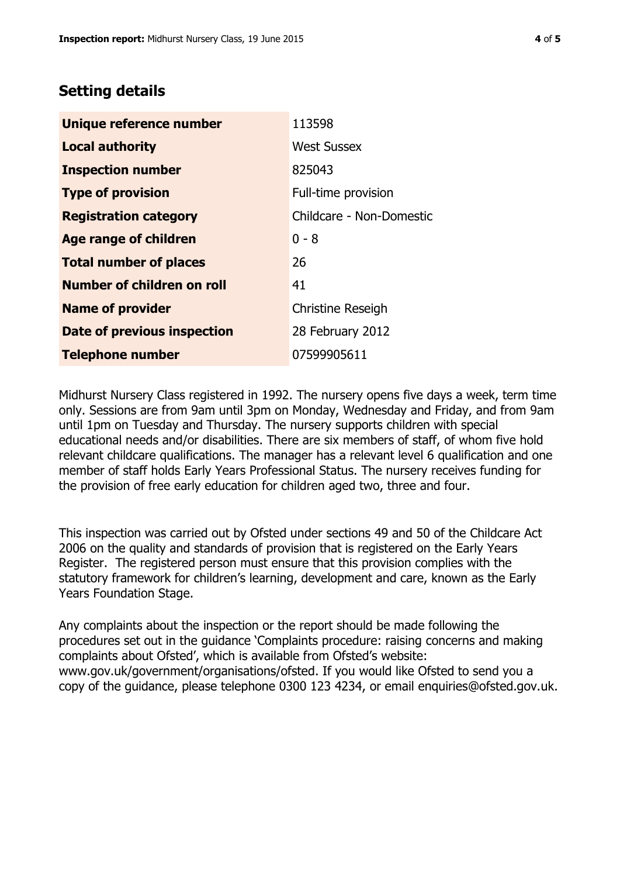## **Setting details**

| Unique reference number           | 113598                   |
|-----------------------------------|--------------------------|
| <b>Local authority</b>            | <b>West Sussex</b>       |
| <b>Inspection number</b>          | 825043                   |
| <b>Type of provision</b>          | Full-time provision      |
| <b>Registration category</b>      | Childcare - Non-Domestic |
| <b>Age range of children</b>      | $0 - 8$                  |
| <b>Total number of places</b>     | 26                       |
| <b>Number of children on roll</b> | 41                       |
| <b>Name of provider</b>           | <b>Christine Reseigh</b> |
| Date of previous inspection       | 28 February 2012         |
| <b>Telephone number</b>           | 07599905611              |

Midhurst Nursery Class registered in 1992. The nursery opens five days a week, term time only. Sessions are from 9am until 3pm on Monday, Wednesday and Friday, and from 9am until 1pm on Tuesday and Thursday. The nursery supports children with special educational needs and/or disabilities. There are six members of staff, of whom five hold relevant childcare qualifications. The manager has a relevant level 6 qualification and one member of staff holds Early Years Professional Status. The nursery receives funding for the provision of free early education for children aged two, three and four.

This inspection was carried out by Ofsted under sections 49 and 50 of the Childcare Act 2006 on the quality and standards of provision that is registered on the Early Years Register. The registered person must ensure that this provision complies with the statutory framework for children's learning, development and care, known as the Early Years Foundation Stage.

Any complaints about the inspection or the report should be made following the procedures set out in the guidance 'Complaints procedure: raising concerns and making complaints about Ofsted', which is available from Ofsted's website: www.gov.uk/government/organisations/ofsted. If you would like Ofsted to send you a copy of the guidance, please telephone 0300 123 4234, or email enquiries@ofsted.gov.uk.